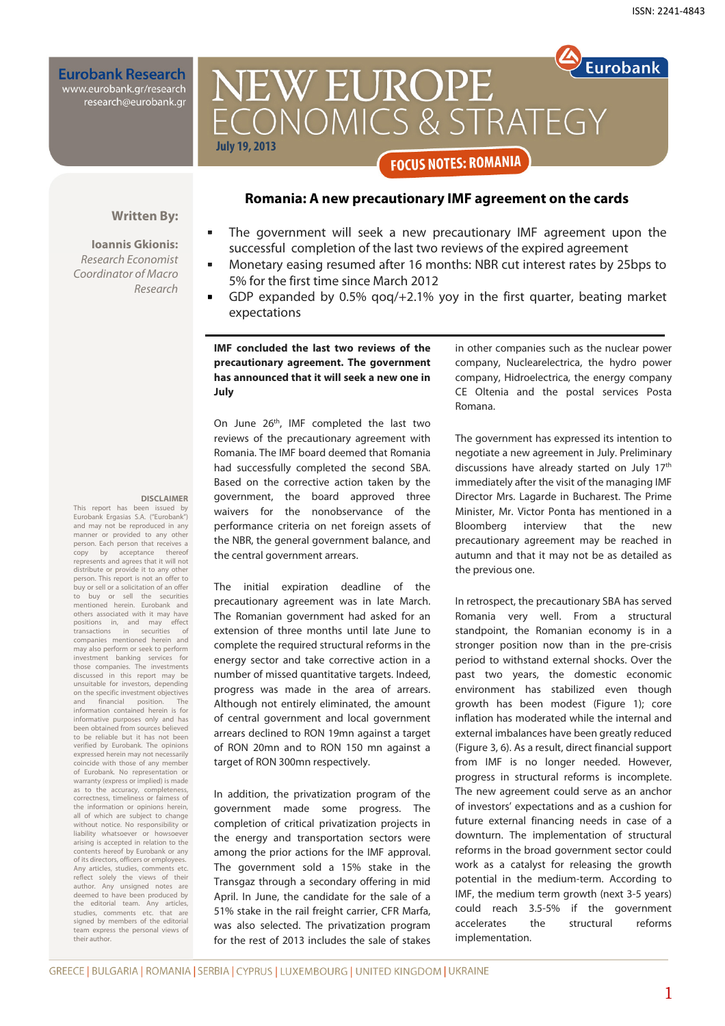**Eurobank Research** www.eurobank.gr/research<br>research@eurobank.gr

# **Eurobank NEW EUROPE** CONOMICS & STRATEGY **July 19, 2013 FOCUS NOTES: ROMANIA**

## **Romania: A new precautionary IMF agreement on the cards**

#### **Written By:**

**DISCLAIMER** 

This report has been issued by Eurobank Ergasias S.A. ("Eurobank") and may not be reproduced in any manner or provided to any other person. Each person that receives a<br>copy by acceptance thereof acceptance represents and agrees that it will not distribute or provide it to any other person. This report is not an offer to buy or sell or a solicitation of an offer to buy or sell the securities mentioned herein. Eurobank and others associated with it may have<br>positions in, and may effect positions in, and may transactions in securities of companies mentioned herein and may also perform or seek to perform investment banking services for those companies. The investments discussed in this report may be unsuitable for investors, depending on the specific investment objectives<br>and financial position. The and financial position. information contained herein is for informative purposes only and has been obtained from sources believed to be reliable but it has not been verified by Eurobank. The opinions expressed herein may not necessarily coincide with those of any member of Eurobank. No representation or warranty (express or implied) is made as to the accuracy, completeness, correctness, timeliness or fairness of the information or opinions herein, all of which are subject to change without notice. No responsibility or liability whatsoever or howso arising is accepted in relation to the contents hereof by Eurobank or any of its directors, officers or employees. Any articles, studies, comments etc. reflect solely the views of their author. Any unsigned notes are deemed to have been produced by the editorial team. Any articles, studies, comments etc. that are signed by members of the editorial team express the personal views of

their author.

**Ioannis Gkionis:**  Research Economist Coordinator of Macro Research

# The government will seek a new precautionary IMF agreement upon the successful completion of the last two reviews of the expired agreement

- Monetary easing resumed after 16 months: NBR cut interest rates by 25bps to 5% for the first time since March 2012
- GDP expanded by 0.5% qoq/+2.1% yoy in the first quarter, beating market expectations

#### **IMF concluded the last two reviews of the precautionary agreement. The government has announced that it will seek a new one in July**

On June 26th, IMF completed the last two reviews of the precautionary agreement with Romania. The IMF board deemed that Romania had successfully completed the second SBA. Based on the corrective action taken by the government, the board approved three waivers for the nonobservance of the performance criteria on net foreign assets of the NBR, the general government balance, and the central government arrears.

The initial expiration deadline of the precautionary agreement was in late March. The Romanian government had asked for an extension of three months until late June to complete the required structural reforms in the energy sector and take corrective action in a number of missed quantitative targets. Indeed, progress was made in the area of arrears. Although not entirely eliminated, the amount of central government and local government arrears declined to RON 19mn against a target of RON 20mn and to RON 150 mn against a target of RON 300mn respectively.

In addition, the privatization program of the government made some progress. The completion of critical privatization projects in the energy and transportation sectors were among the prior actions for the IMF approval. The government sold a 15% stake in the Transgaz through a secondary offering in mid April. In June, the candidate for the sale of a 51% stake in the rail freight carrier, CFR Marfa, was also selected. The privatization program for the rest of 2013 includes the sale of stakes in other companies such as the nuclear power company, Nuclearelectrica, the hydro power company, Hidroelectrica, the energy company CE Oltenia and the postal services Posta Romana.

The government has expressed its intention to negotiate a new agreement in July. Preliminary discussions have already started on July 17th immediately after the visit of the managing IMF Director Mrs. Lagarde in Bucharest. The Prime Minister, Mr. Victor Ponta has mentioned in a Bloomberg interview that the new precautionary agreement may be reached in autumn and that it may not be as detailed as the previous one.

In retrospect, the precautionary SBA has served Romania very well. From a structural standpoint, the Romanian economy is in a stronger position now than in the pre-crisis period to withstand external shocks. Over the past two years, the domestic economic environment has stabilized even though growth has been modest (Figure 1); core inflation has moderated while the internal and external imbalances have been greatly reduced (Figure 3, 6). As a result, direct financial support from IMF is no longer needed. However, progress in structural reforms is incomplete. The new agreement could serve as an anchor of investors' expectations and as a cushion for future external financing needs in case of a downturn. The implementation of structural reforms in the broad government sector could work as a catalyst for releasing the growth potential in the medium-term. According to IMF, the medium term growth (next 3-5 years) could reach 3.5-5% if the government accelerates the structural reforms implementation.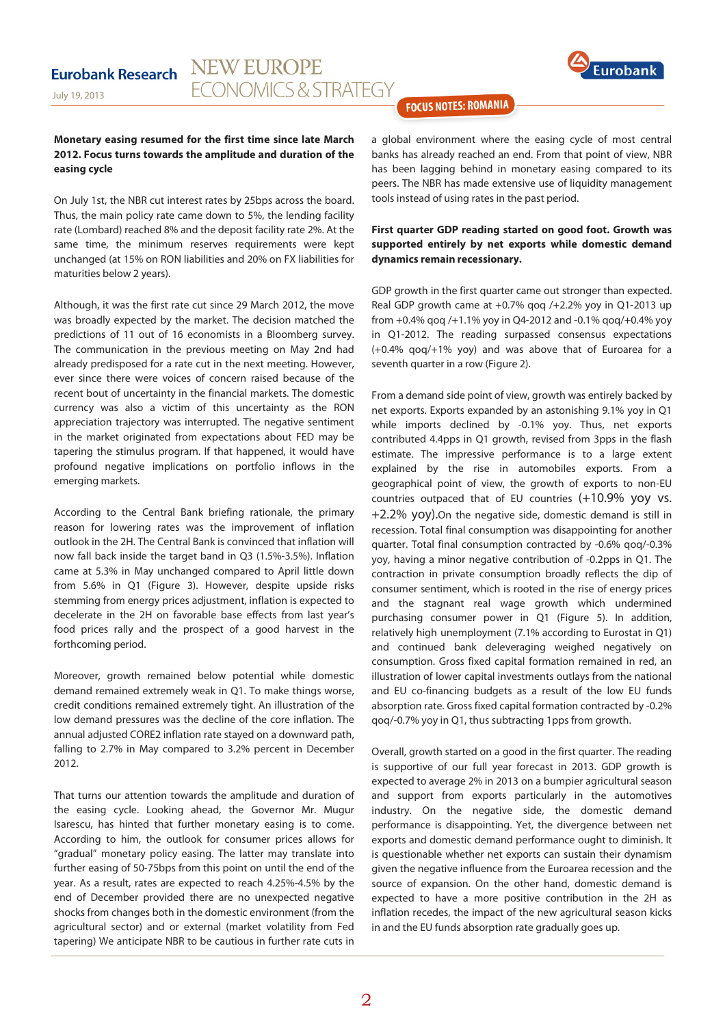

**FOCUS NOTES: ROMANIA** 

#### **Monetary easing resumed for the first time since late March 2012. Focus turns towards the amplitude and duration of the easing cycle**

On July 1st, the NBR cut interest rates by 25bps across the board. Thus, the main policy rate came down to 5%, the lending facility rate (Lombard) reached 8% and the deposit facility rate 2%. At the same time, the minimum reserves requirements were kept unchanged (at 15% on RON liabilities and 20% on FX liabilities for maturities below 2 years).

Although, it was the first rate cut since 29 March 2012, the move was broadly expected by the market. The decision matched the predictions of 11 out of 16 economists in a Bloomberg survey. The communication in the previous meeting on May 2nd had already predisposed for a rate cut in the next meeting. However, ever since there were voices of concern raised because of the recent bout of uncertainty in the financial markets. The domestic currency was also a victim of this uncertainty as the RON appreciation trajectory was interrupted. The negative sentiment in the market originated from expectations about FED may be tapering the stimulus program. If that happened, it would have profound negative implications on portfolio inflows in the emerging markets.

According to the Central Bank briefing rationale, the primary reason for lowering rates was the improvement of inflation outlook in the 2H. The Central Bank is convinced that inflation will now fall back inside the target band in Q3 (1.5%-3.5%). Inflation came at 5.3% in May unchanged compared to April little down from 5.6% in Q1 (Figure 3). However, despite upside risks stemming from energy prices adjustment, inflation is expected to decelerate in the 2H on favorable base effects from last year's food prices rally and the prospect of a good harvest in the forthcoming period.

Moreover, growth remained below potential while domestic demand remained extremely weak in Q1. To make things worse, credit conditions remained extremely tight. An illustration of the low demand pressures was the decline of the core inflation. The annual adjusted CORE2 inflation rate stayed on a downward path, falling to 2.7% in May compared to 3.2% percent in December 2012.

That turns our attention towards the amplitude and duration of the easing cycle. Looking ahead, the Governor Mr. Mugur Isarescu, has hinted that further monetary easing is to come. According to him, the outlook for consumer prices allows for "gradual" monetary policy easing. The latter may translate into further easing of 50-75bps from this point on until the end of the year. As a result, rates are expected to reach 4.25%-4.5% by the end of December provided there are no unexpected negative shocks from changes both in the domestic environment (from the agricultural sector) and or external (market volatility from Fed tapering) We anticipate NBR to be cautious in further rate cuts in

a global environment where the easing cycle of most central banks has already reached an end. From that point of view, NBR has been lagging behind in monetary easing compared to its peers. The NBR has made extensive use of liquidity management tools instead of using rates in the past period.

#### **First quarter GDP reading started on good foot. Growth was supported entirely by net exports while domestic demand dynamics remain recessionary.**

GDP growth in the first quarter came out stronger than expected. Real GDP growth came at  $+0.7\%$  gog  $/+2.2\%$  yoy in Q1-2013 up from +0.4% qoq /+1.1% yoy in Q4-2012 and -0.1% qoq/+0.4% yoy in Q1-2012. The reading surpassed consensus expectations (+0.4% qoq/+1% yoy) and was above that of Euroarea for a seventh quarter in a row (Figure 2).

From a demand side point of view, growth was entirely backed by net exports. Exports expanded by an astonishing 9.1% yoy in Q1 while imports declined by -0.1% yoy. Thus, net exports contributed 4.4pps in Q1 growth, revised from 3pps in the flash estimate. The impressive performance is to a large extent explained by the rise in automobiles exports. From a geographical point of view, the growth of exports to non-EU countries outpaced that of EU countries (+10.9% yoy vs. +2.2% yoy).On the negative side, domestic demand is still in recession. Total final consumption was disappointing for another quarter. Total final consumption contracted by -0.6% qoq/-0.3% yoy, having a minor negative contribution of -0.2pps in Q1. The contraction in private consumption broadly reflects the dip of consumer sentiment, which is rooted in the rise of energy prices and the stagnant real wage growth which undermined purchasing consumer power in Q1 (Figure 5). In addition, relatively high unemployment (7.1% according to Eurostat in Q1) and continued bank deleveraging weighed negatively on consumption. Gross fixed capital formation remained in red, an illustration of lower capital investments outlays from the national and EU co-financing budgets as a result of the low EU funds absorption rate. Gross fixed capital formation contracted by -0.2% qoq/-0.7% yoy in Q1, thus subtracting 1pps from growth.

Overall, growth started on a good in the first quarter. The reading is supportive of our full year forecast in 2013. GDP growth is expected to average 2% in 2013 on a bumpier agricultural season and support from exports particularly in the automotives industry. On the negative side, the domestic demand performance is disappointing. Yet, the divergence between net exports and domestic demand performance ought to diminish. It is questionable whether net exports can sustain their dynamism given the negative influence from the Euroarea recession and the source of expansion. On the other hand, domestic demand is expected to have a more positive contribution in the 2H as inflation recedes, the impact of the new agricultural season kicks in and the EU funds absorption rate gradually goes up.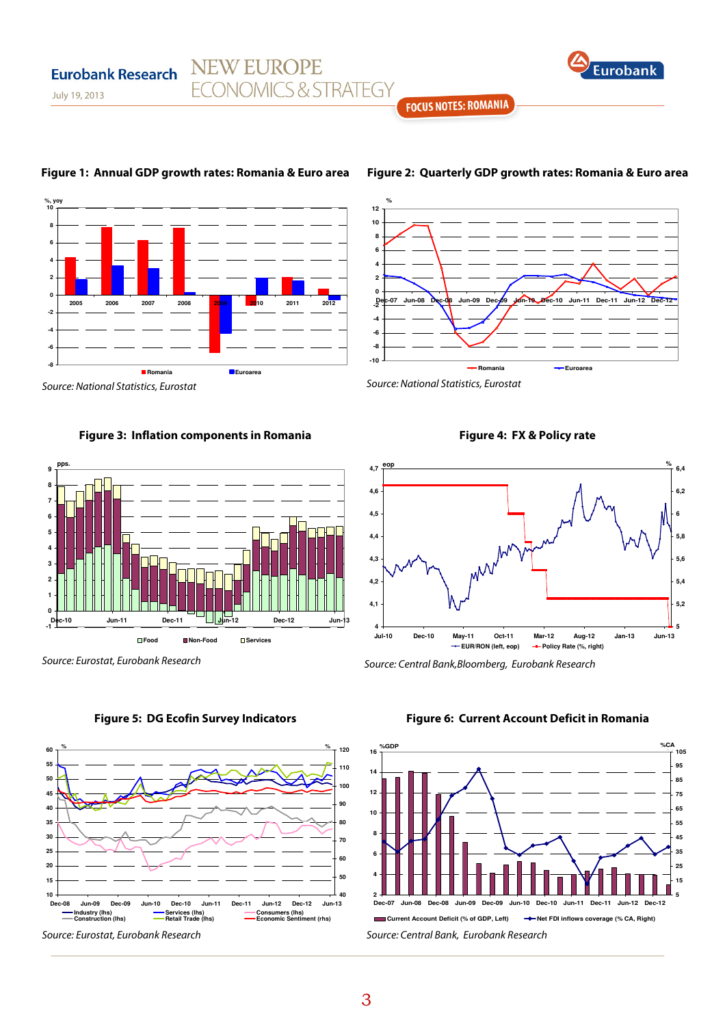

**FOCUS NOTES: ROMANIA** 



## **Figure 1: Annual GDP growth rates: Romania & Euro area**

**NEW EUROPE** 

**ECONOMICS & STRATEGY** 

# **Figure 2: Quarterly GDP growth rates: Romania & Euro area**



Source: National Statistics, Eurostat

July 19, 2013

**Eurobank Research** 

## **Figure 3: Inflation components in Romania**



Source: Eurostat, Eurobank Research

**Figure 5: DG Ecofin Survey Indicators** 



Source: Eurostat, Eurobank Research

**Figure 4: FX & Policy rate** 



Source: Central Bank,Bloomberg, Eurobank Research

#### **Figure 6: Current Account Deficit in Romania**